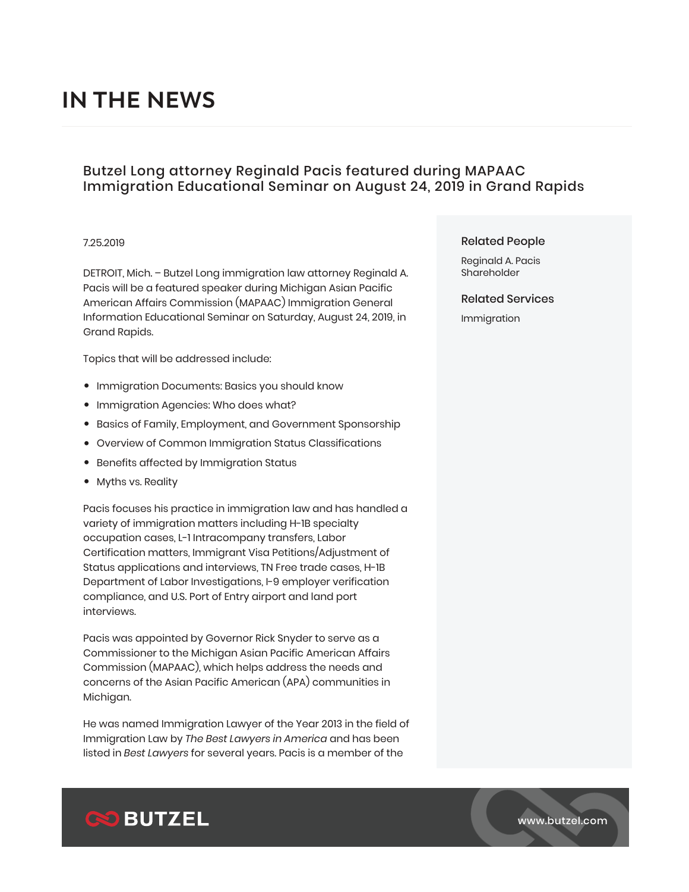# **IN THE NEWS**

## Butzel Long attorney Reginald Pacis featured during MAPAAC Immigration Educational Seminar on August 24, 2019 in Grand Rapids

#### 7.25.2019

DETROIT, Mich. – Butzel Long immigration law attorney Reginald A. Pacis will be a featured speaker during Michigan Asian Pacific American Affairs Commission (MAPAAC) Immigration General Information Educational Seminar on Saturday, August 24, 2019, in Grand Rapids.

Topics that will be addressed include:

- Immigration Documents: Basics you should know
- Immigration Agencies: Who does what?
- Basics of Family, Employment, and Government Sponsorship
- Overview of Common Immigration Status Classifications
- Benefits affected by Immigration Status
- Myths vs. Reality

Pacis focuses his practice in immigration law and has handled a variety of immigration matters including H-1B specialty occupation cases, L-1 Intracompany transfers, Labor Certification matters, Immigrant Visa Petitions/Adjustment of Status applications and interviews, TN Free trade cases, H-1B Department of Labor Investigations, I-9 employer verification compliance, and U.S. Port of Entry airport and land port interviews.

Pacis was appointed by Governor Rick Snyder to serve as a Commissioner to the Michigan Asian Pacific American Affairs Commission (MAPAAC), which helps address the needs and concerns of the Asian Pacific American (APA) communities in Michigan.

He was named Immigration Lawyer of the Year 2013 in the field of Immigration Law by *The Best Lawyers in America* and has been listed in *Best Lawyers* for several years. Pacis is a member of the

#### Related People

Reginald A. Pacis Shareholder

Related Services

Immigration



www.butzel.com